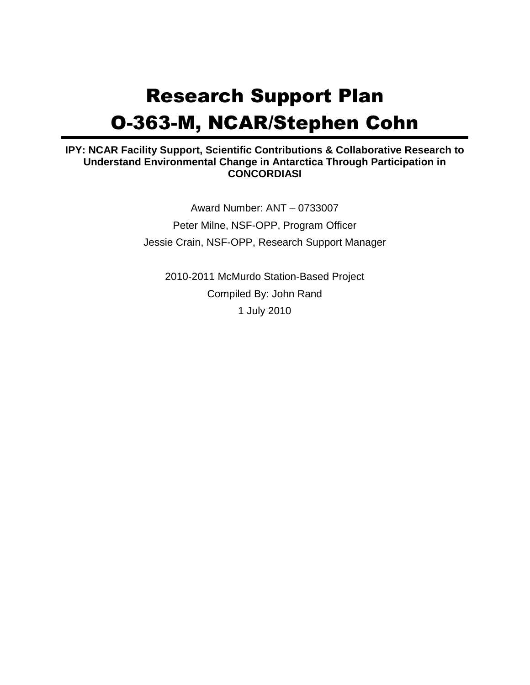# Research Support Plan O-363-M, NCAR/Stephen Cohn

#### **IPY: NCAR Facility Support, Scientific Contributions & Collaborative Research to Understand Environmental Change in Antarctica Through Participation in CONCORDIASI**

Award Number: ANT – 0733007 Peter Milne, NSF-OPP, Program Officer Jessie Crain, NSF-OPP, Research Support Manager

2010-2011 McMurdo Station-Based Project Compiled By: John Rand 1 July 2010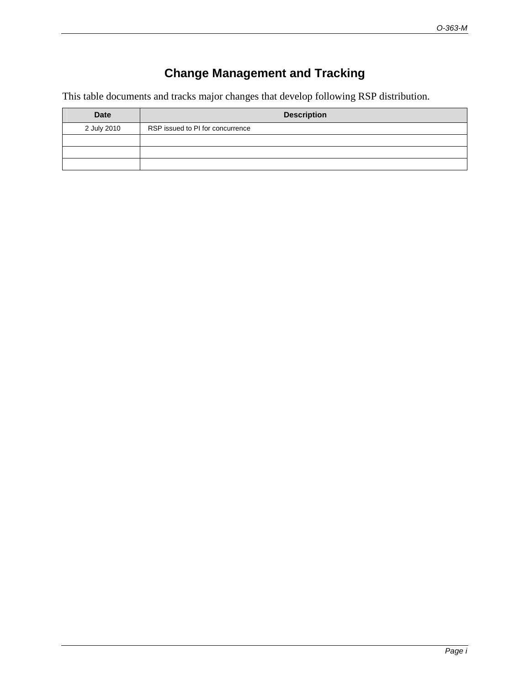### **Change Management and Tracking**

This table documents and tracks major changes that develop following RSP distribution.

| <b>Date</b> | <b>Description</b>               |
|-------------|----------------------------------|
| 2 July 2010 | RSP issued to PI for concurrence |
|             |                                  |
|             |                                  |
|             |                                  |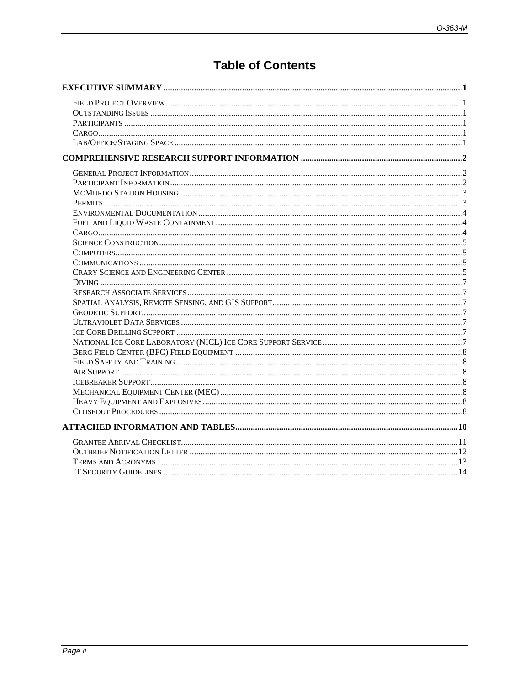### **Table of Contents**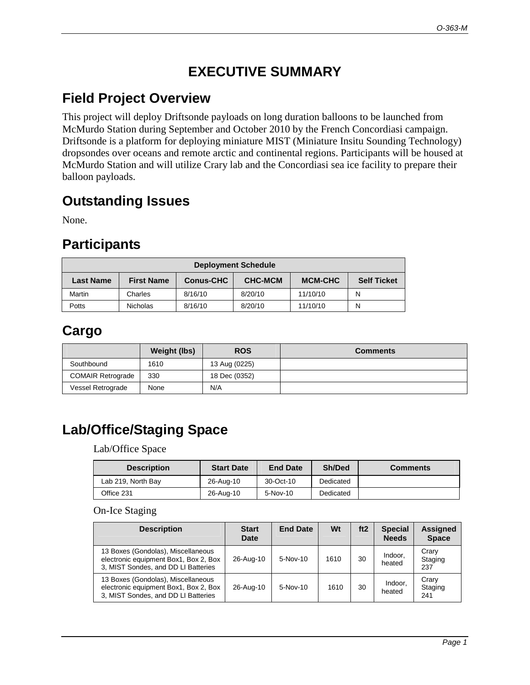## **EXECUTIVE SUMMARY**

### **Field Project Overview**

This project will deploy Driftsonde payloads on long duration balloons to be launched from McMurdo Station during September and October 2010 by the French Concordiasi campaign. Driftsonde is a platform for deploying miniature MIST (Miniature Insitu Sounding Technology) dropsondes over oceans and remote arctic and continental regions. Participants will be housed at McMurdo Station and will utilize Crary lab and the Concordiasi sea ice facility to prepare their balloon payloads.

### **Outstanding Issues**

None.

### **Participants**

| <b>Deployment Schedule</b>                                                                                   |                 |         |         |          |   |  |  |  |
|--------------------------------------------------------------------------------------------------------------|-----------------|---------|---------|----------|---|--|--|--|
| <b>CHC-MCM</b><br><b>MCM-CHC</b><br><b>Self Ticket</b><br><b>First Name</b><br><b>Conus-CHC</b><br>Last Name |                 |         |         |          |   |  |  |  |
| Martin                                                                                                       | Charles         | 8/16/10 | 8/20/10 | 11/10/10 | N |  |  |  |
| Potts                                                                                                        | <b>Nicholas</b> | 8/16/10 | 8/20/10 | 11/10/10 | N |  |  |  |

## **Cargo**

|                          | Weight (lbs) | <b>ROS</b>    | <b>Comments</b> |
|--------------------------|--------------|---------------|-----------------|
| Southbound               | 1610         | 13 Aug (0225) |                 |
| <b>COMAIR Retrograde</b> | 330          | 18 Dec (0352) |                 |
| Vessel Retrograde        | None         | N/A           |                 |

## **Lab/Office/Staging Space**

Lab/Office Space

| <b>Description</b> | <b>Start Date</b> | <b>End Date</b> | Sh/Ded    | <b>Comments</b> |
|--------------------|-------------------|-----------------|-----------|-----------------|
| Lab 219, North Bay | 26-Aug-10         | 30-Oct-10       | Dedicated |                 |
| Office 231         | 26-Aug-10         | $5-Nov-10$      | Dedicated |                 |

#### On-Ice Staging

| <b>Description</b>                                                                                                 | <b>Start</b><br><b>Date</b> | <b>End Date</b> | Wt   | ft <sub>2</sub> | <b>Special</b><br><b>Needs</b> | <b>Assigned</b><br><b>Space</b> |
|--------------------------------------------------------------------------------------------------------------------|-----------------------------|-----------------|------|-----------------|--------------------------------|---------------------------------|
| 13 Boxes (Gondolas), Miscellaneous<br>electronic equipment Box1, Box 2, Box<br>3, MIST Sondes, and DD LI Batteries | 26-Aug-10                   | $5-Nov-10$      | 1610 | 30              | Indoor.<br>heated              | Crarv<br>Staging<br>237         |
| 13 Boxes (Gondolas), Miscellaneous<br>electronic equipment Box1, Box 2, Box<br>3, MIST Sondes, and DD LI Batteries | 26-Aug-10                   | 5-Nov-10        | 1610 | 30              | Indoor.<br>heated              | Crary<br>Staging<br>241         |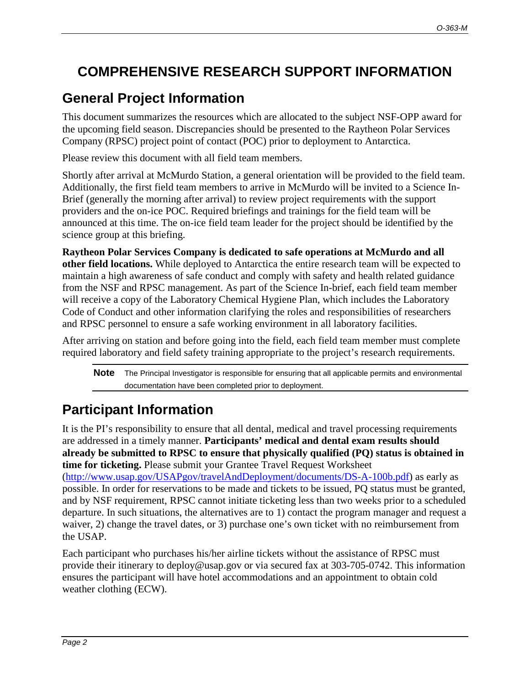## **COMPREHENSIVE RESEARCH SUPPORT INFORMATION**

## **General Project Information**

This document summarizes the resources which are allocated to the subject NSF-OPP award for the upcoming field season. Discrepancies should be presented to the Raytheon Polar Services Company (RPSC) project point of contact (POC) prior to deployment to Antarctica.

Please review this document with all field team members.

Shortly after arrival at McMurdo Station, a general orientation will be provided to the field team. Additionally, the first field team members to arrive in McMurdo will be invited to a Science In-Brief (generally the morning after arrival) to review project requirements with the support providers and the on-ice POC. Required briefings and trainings for the field team will be announced at this time. The on-ice field team leader for the project should be identified by the science group at this briefing.

**Raytheon Polar Services Company is dedicated to safe operations at McMurdo and all other field locations.** While deployed to Antarctica the entire research team will be expected to maintain a high awareness of safe conduct and comply with safety and health related guidance from the NSF and RPSC management. As part of the Science In-brief, each field team member will receive a copy of the Laboratory Chemical Hygiene Plan, which includes the Laboratory Code of Conduct and other information clarifying the roles and responsibilities of researchers and RPSC personnel to ensure a safe working environment in all laboratory facilities.

After arriving on station and before going into the field, each field team member must complete required laboratory and field safety training appropriate to the project's research requirements.

**Note** The Principal Investigator is responsible for ensuring that all applicable permits and environmental documentation have been completed prior to deployment.

## **Participant Information**

It is the PI's responsibility to ensure that all dental, medical and travel processing requirements are addressed in a timely manner. **Participants' medical and dental exam results should already be submitted to RPSC to ensure that physically qualified (PQ) status is obtained in time for ticketing.** Please submit your Grantee Travel Request Worksheet (http://www.usap.gov/USAPgov/travelAndDeployment/documents/DS-A-100b.pdf) as early as possible. In order for reservations to be made and tickets to be issued, PQ status must be granted, and by NSF requirement, RPSC cannot initiate ticketing less than two weeks prior to a scheduled departure. In such situations, the alternatives are to 1) contact the program manager and request a waiver, 2) change the travel dates, or 3) purchase one's own ticket with no reimbursement from the USAP.

Each participant who purchases his/her airline tickets without the assistance of RPSC must provide their itinerary to deploy@usap.gov or via secured fax at 303-705-0742. This information ensures the participant will have hotel accommodations and an appointment to obtain cold weather clothing (ECW).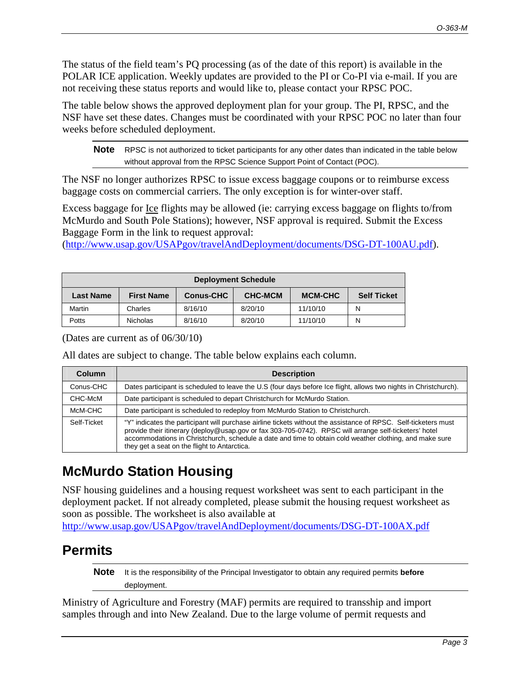The status of the field team's PQ processing (as of the date of this report) is available in the POLAR ICE application. Weekly updates are provided to the PI or Co-PI via e-mail. If you are not receiving these status reports and would like to, please contact your RPSC POC.

The table below shows the approved deployment plan for your group. The PI, RPSC, and the NSF have set these dates. Changes must be coordinated with your RPSC POC no later than four weeks before scheduled deployment.

**Note** RPSC is not authorized to ticket participants for any other dates than indicated in the table below without approval from the RPSC Science Support Point of Contact (POC).

The NSF no longer authorizes RPSC to issue excess baggage coupons or to reimburse excess baggage costs on commercial carriers. The only exception is for winter-over staff.

Excess baggage for Ice flights may be allowed (ie: carrying excess baggage on flights to/from McMurdo and South Pole Stations); however, NSF approval is required. Submit the Excess Baggage Form in the link to request approval:

(http://www.usap.gov/USAPgov/travelAndDeployment/documents/DSG-DT-100AU.pdf).

| <b>Deployment Schedule</b>                                                                                   |                 |         |         |          |   |  |  |
|--------------------------------------------------------------------------------------------------------------|-----------------|---------|---------|----------|---|--|--|
| <b>CHC-MCM</b><br><b>MCM-CHC</b><br><b>Self Ticket</b><br><b>First Name</b><br><b>Conus-CHC</b><br>Last Name |                 |         |         |          |   |  |  |
| Martin                                                                                                       | Charles         | 8/16/10 | 8/20/10 | 11/10/10 | N |  |  |
| Potts                                                                                                        | <b>Nicholas</b> | 8/16/10 | 8/20/10 | 11/10/10 | N |  |  |

(Dates are current as of 06/30/10)

All dates are subject to change. The table below explains each column.

| <b>Column</b> | <b>Description</b>                                                                                                                                                                                                                                                                                                                                                                   |
|---------------|--------------------------------------------------------------------------------------------------------------------------------------------------------------------------------------------------------------------------------------------------------------------------------------------------------------------------------------------------------------------------------------|
| Conus-CHC     | Dates participant is scheduled to leave the U.S (four days before Ice flight, allows two nights in Christchurch).                                                                                                                                                                                                                                                                    |
| CHC-McM       | Date participant is scheduled to depart Christchurch for McMurdo Station.                                                                                                                                                                                                                                                                                                            |
| McM-CHC       | Date participant is scheduled to redeploy from McMurdo Station to Christchurch.                                                                                                                                                                                                                                                                                                      |
| Self-Ticket   | "Y" indicates the participant will purchase airline tickets without the assistance of RPSC. Self-ticketers must<br>provide their itinerary (deploy@usap.gov or fax 303-705-0742). RPSC will arrange self-ticketers' hotel<br>accommodations in Christchurch, schedule a date and time to obtain cold weather clothing, and make sure<br>they get a seat on the flight to Antarctica. |

## **McMurdo Station Housing**

NSF housing guidelines and a housing request worksheet was sent to each participant in the deployment packet. If not already completed, please submit the housing request worksheet as soon as possible. The worksheet is also available at

http://www.usap.gov/USAPgov/travelAndDeployment/documents/DSG-DT-100AX.pdf

## **Permits**

**Note** It is the responsibility of the Principal Investigator to obtain any required permits **before** deployment.

Ministry of Agriculture and Forestry (MAF) permits are required to transship and import samples through and into New Zealand. Due to the large volume of permit requests and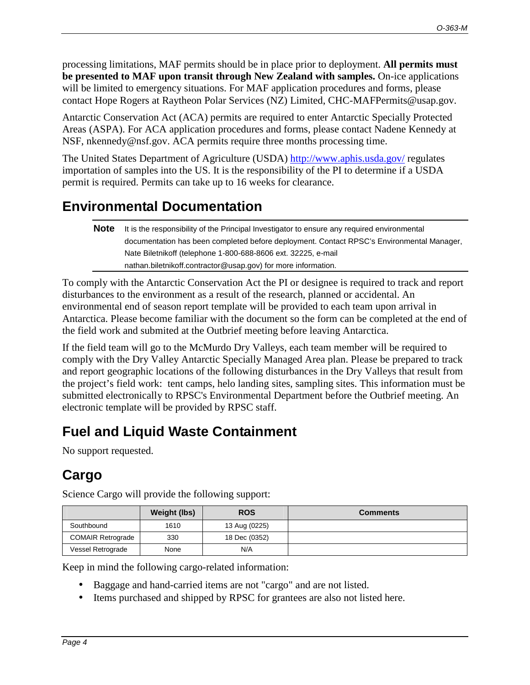processing limitations, MAF permits should be in place prior to deployment. **All permits must be presented to MAF upon transit through New Zealand with samples.** On-ice applications will be limited to emergency situations. For MAF application procedures and forms, please contact Hope Rogers at Raytheon Polar Services (NZ) Limited, CHC-MAFPermits@usap.gov.

Antarctic Conservation Act (ACA) permits are required to enter Antarctic Specially Protected Areas (ASPA). For ACA application procedures and forms, please contact Nadene Kennedy at NSF, nkennedy@nsf.gov. ACA permits require three months processing time.

The United States Department of Agriculture (USDA) http://www.aphis.usda.gov/ regulates importation of samples into the US. It is the responsibility of the PI to determine if a USDA permit is required. Permits can take up to 16 weeks for clearance.

### **Environmental Documentation**

```
Note It is the responsibility of the Principal Investigator to ensure any required environmental
documentation has been completed before deployment. Contact RPSC's Environmental Manager, 
Nate Biletnikoff (telephone 1-800-688-8606 ext. 32225, e-mail 
nathan.biletnikoff.contractor@usap.gov) for more information.
```
To comply with the Antarctic Conservation Act the PI or designee is required to track and report disturbances to the environment as a result of the research, planned or accidental. An environmental end of season report template will be provided to each team upon arrival in Antarctica. Please become familiar with the document so the form can be completed at the end of the field work and submited at the Outbrief meeting before leaving Antarctica.

If the field team will go to the McMurdo Dry Valleys, each team member will be required to comply with the Dry Valley Antarctic Specially Managed Area plan. Please be prepared to track and report geographic locations of the following disturbances in the Dry Valleys that result from the project's field work: tent camps, helo landing sites, sampling sites. This information must be submitted electronically to RPSC's Environmental Department before the Outbrief meeting. An electronic template will be provided by RPSC staff.

## **Fuel and Liquid Waste Containment**

No support requested.

## **Cargo**

|                          | Weight (lbs) | <b>ROS</b>    | <b>Comments</b> |
|--------------------------|--------------|---------------|-----------------|
| Southbound               | 1610         | 13 Aug (0225) |                 |
| <b>COMAIR Retrograde</b> | 330          | 18 Dec (0352) |                 |
| Vessel Retrograde        | None         | N/A           |                 |

Science Cargo will provide the following support:

Keep in mind the following cargo-related information:

- Baggage and hand-carried items are not "cargo" and are not listed.
- Items purchased and shipped by RPSC for grantees are also not listed here.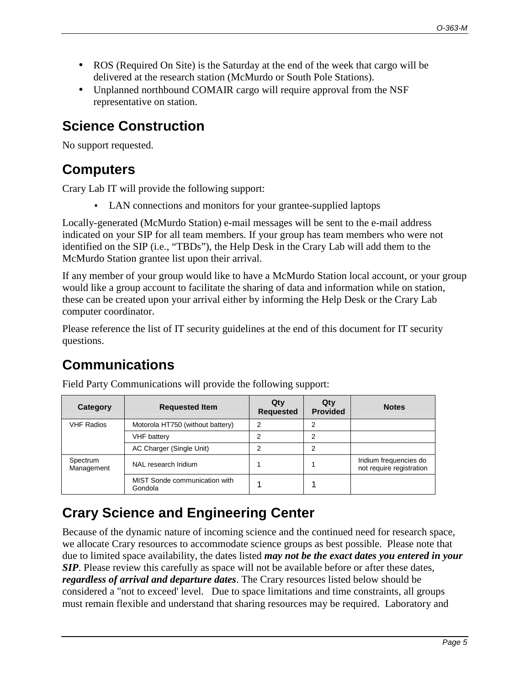- ROS (Required On Site) is the Saturday at the end of the week that cargo will be delivered at the research station (McMurdo or South Pole Stations).
- Unplanned northbound COMAIR cargo will require approval from the NSF representative on station.

## **Science Construction**

No support requested.

## **Computers**

Crary Lab IT will provide the following support:

• LAN connections and monitors for your grantee-supplied laptops

Locally-generated (McMurdo Station) e-mail messages will be sent to the e-mail address indicated on your SIP for all team members. If your group has team members who were not identified on the SIP (i.e., "TBDs"), the Help Desk in the Crary Lab will add them to the McMurdo Station grantee list upon their arrival.

If any member of your group would like to have a McMurdo Station local account, or your group would like a group account to facilitate the sharing of data and information while on station, these can be created upon your arrival either by informing the Help Desk or the Crary Lab computer coordinator.

Please reference the list of IT security guidelines at the end of this document for IT security questions.

## **Communications**

| Category               | <b>Requested Item</b>                    | Qtv<br><b>Requested</b> | Qtv<br><b>Provided</b> | <b>Notes</b>                                       |
|------------------------|------------------------------------------|-------------------------|------------------------|----------------------------------------------------|
| <b>VHF Radios</b>      | Motorola HT750 (without battery)         | າ                       | າ                      |                                                    |
|                        | <b>VHF</b> battery                       |                         | っ                      |                                                    |
|                        | AC Charger (Single Unit)                 |                         |                        |                                                    |
| Spectrum<br>Management | NAL research Iridium                     |                         |                        | Iridium frequencies do<br>not require registration |
|                        | MIST Sonde communication with<br>Gondola |                         |                        |                                                    |

Field Party Communications will provide the following support:

## **Crary Science and Engineering Center**

Because of the dynamic nature of incoming science and the continued need for research space, we allocate Crary resources to accommodate science groups as best possible. Please note that due to limited space availability, the dates listed *may not be the exact dates you entered in your SIP*. Please review this carefully as space will not be available before or after these dates, *regardless of arrival and departure dates*. The Crary resources listed below should be considered a "not to exceed' level. Due to space limitations and time constraints, all groups must remain flexible and understand that sharing resources may be required. Laboratory and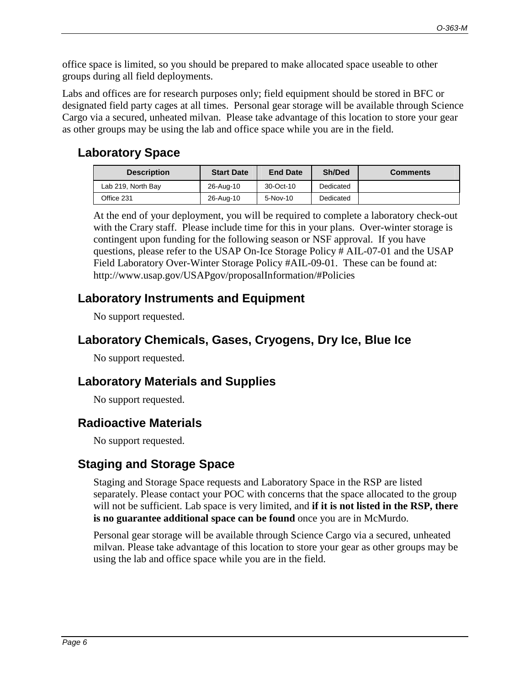office space is limited, so you should be prepared to make allocated space useable to other groups during all field deployments.

Labs and offices are for research purposes only; field equipment should be stored in BFC or designated field party cages at all times.Personal gear storage will be available through Science Cargo via a secured, unheated milvan. Please take advantage of this location to store your gear as other groups may be using the lab and office space while you are in the field.

#### **Laboratory Space**

| <b>Description</b> | <b>Start Date</b> | <b>End Date</b> | Sh/Ded    | <b>Comments</b> |
|--------------------|-------------------|-----------------|-----------|-----------------|
| Lab 219, North Bay | 26-Aug-10         | 30-Oct-10       | Dedicated |                 |
| Office 231         | 26-Aug-10         | $5$ -Nov-10     | Dedicated |                 |

At the end of your deployment, you will be required to complete a laboratory check-out with the Crary staff. Please include time for this in your plans. Over-winter storage is contingent upon funding for the following season or NSF approval. If you have questions, please refer to the USAP On-Ice Storage Policy # AIL-07-01 and the USAP Field Laboratory Over-Winter Storage Policy #AIL-09-01. These can be found at: http://www.usap.gov/USAPgov/proposalInformation/#Policies

### **Laboratory Instruments and Equipment**

No support requested.

### **Laboratory Chemicals, Gases, Cryogens, Dry Ice, Blue Ice**

No support requested.

### **Laboratory Materials and Supplies**

No support requested.

#### **Radioactive Materials**

No support requested.

### **Staging and Storage Space**

Staging and Storage Space requests and Laboratory Space in the RSP are listed separately. Please contact your POC with concerns that the space allocated to the group will not be sufficient. Lab space is very limited, and **if it is not listed in the RSP, there is no guarantee additional space can be found** once you are in McMurdo.

Personal gear storage will be available through Science Cargo via a secured, unheated milvan. Please take advantage of this location to store your gear as other groups may be using the lab and office space while you are in the field.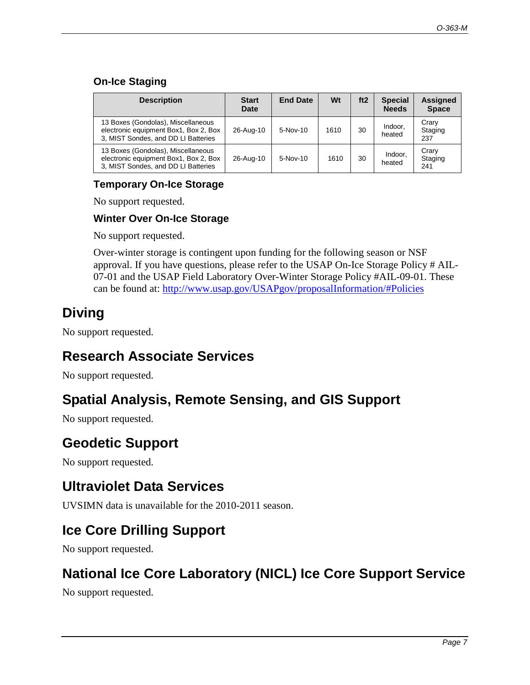#### **On-Ice Staging**

| <b>Description</b>                                                                                                 | <b>Start</b><br>Date | <b>End Date</b> | Wt   | ft2 | <b>Special</b><br><b>Needs</b> | <b>Assigned</b><br><b>Space</b> |
|--------------------------------------------------------------------------------------------------------------------|----------------------|-----------------|------|-----|--------------------------------|---------------------------------|
| 13 Boxes (Gondolas), Miscellaneous<br>electronic equipment Box1, Box 2, Box<br>3, MIST Sondes, and DD LI Batteries | 26-Aug-10            | 5-Nov-10        | 1610 | 30  | Indoor,<br>heated              | Crary<br>Staging<br>237         |
| 13 Boxes (Gondolas), Miscellaneous<br>electronic equipment Box1, Box 2, Box<br>3, MIST Sondes, and DD LI Batteries | 26-Aug-10            | $5-Nov-10$      | 1610 | 30  | Indoor,<br>heated              | Crary<br>Staging<br>241         |

#### **Temporary On-Ice Storage**

No support requested.

#### **Winter Over On-Ice Storage**

No support requested.

Over-winter storage is contingent upon funding for the following season or NSF approval. If you have questions, please refer to the USAP On-Ice Storage Policy # AIL-07-01 and the USAP Field Laboratory Over-Winter Storage Policy #AIL-09-01. These can be found at: http://www.usap.gov/USAPgov/proposalInformation/#Policies

## **Diving**

No support requested.

### **Research Associate Services**

No support requested.

### **Spatial Analysis, Remote Sensing, and GIS Support**

No support requested.

### **Geodetic Support**

No support requested.

### **Ultraviolet Data Services**

UVSIMN data is unavailable for the 2010-2011 season.

### **Ice Core Drilling Support**

No support requested.

### **National Ice Core Laboratory (NICL) Ice Core Support Service**

No support requested.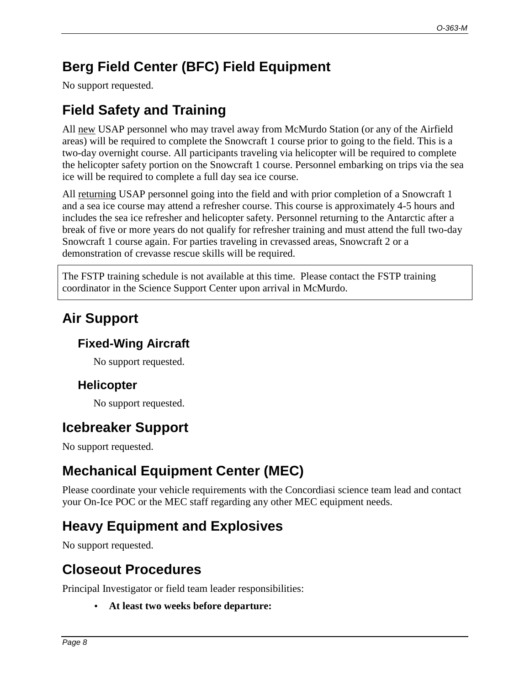## **Berg Field Center (BFC) Field Equipment**

No support requested.

## **Field Safety and Training**

All new USAP personnel who may travel away from McMurdo Station (or any of the Airfield areas) will be required to complete the Snowcraft 1 course prior to going to the field. This is a two-day overnight course. All participants traveling via helicopter will be required to complete the helicopter safety portion on the Snowcraft 1 course. Personnel embarking on trips via the sea ice will be required to complete a full day sea ice course.

All returning USAP personnel going into the field and with prior completion of a Snowcraft 1 and a sea ice course may attend a refresher course. This course is approximately 4-5 hours and includes the sea ice refresher and helicopter safety. Personnel returning to the Antarctic after a break of five or more years do not qualify for refresher training and must attend the full two-day Snowcraft 1 course again. For parties traveling in crevassed areas, Snowcraft 2 or a demonstration of crevasse rescue skills will be required.

The FSTP training schedule is not available at this time. Please contact the FSTP training coordinator in the Science Support Center upon arrival in McMurdo.

## **Air Support**

### **Fixed-Wing Aircraft**

No support requested.

#### **Helicopter**

No support requested.

### **Icebreaker Support**

No support requested.

## **Mechanical Equipment Center (MEC)**

Please coordinate your vehicle requirements with the Concordiasi science team lead and contact your On-Ice POC or the MEC staff regarding any other MEC equipment needs.

### **Heavy Equipment and Explosives**

No support requested.

## **Closeout Procedures**

Principal Investigator or field team leader responsibilities:

• **At least two weeks before departure:**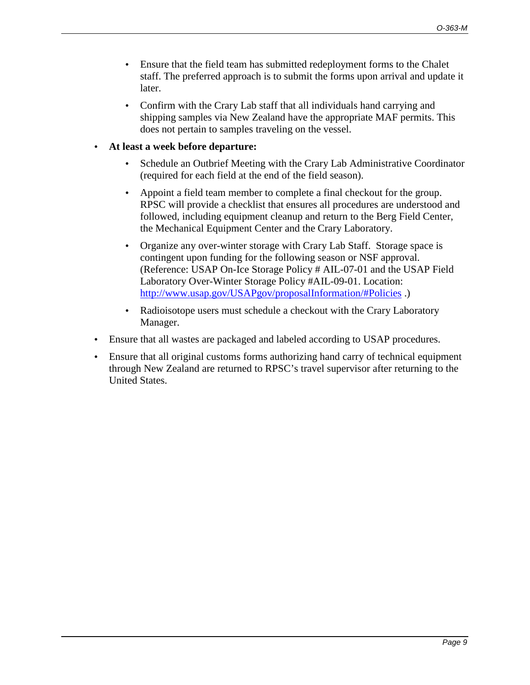- Ensure that the field team has submitted redeployment forms to the Chalet staff. The preferred approach is to submit the forms upon arrival and update it later.
- Confirm with the Crary Lab staff that all individuals hand carrying and shipping samples via New Zealand have the appropriate MAF permits. This does not pertain to samples traveling on the vessel.
- **At least a week before departure:** 
	- Schedule an Outbrief Meeting with the Crary Lab Administrative Coordinator (required for each field at the end of the field season).
	- Appoint a field team member to complete a final checkout for the group. RPSC will provide a checklist that ensures all procedures are understood and followed, including equipment cleanup and return to the Berg Field Center, the Mechanical Equipment Center and the Crary Laboratory.
	- Organize any over-winter storage with Crary Lab Staff. Storage space is contingent upon funding for the following season or NSF approval. (Reference: USAP On-Ice Storage Policy # AIL-07-01 and the USAP Field Laboratory Over-Winter Storage Policy #AIL-09-01. Location: http://www.usap.gov/USAPgov/proposalInformation/#Policies .)
	- Radioisotope users must schedule a checkout with the Crary Laboratory Manager.
- Ensure that all wastes are packaged and labeled according to USAP procedures.
- Ensure that all original customs forms authorizing hand carry of technical equipment through New Zealand are returned to RPSC's travel supervisor after returning to the United States.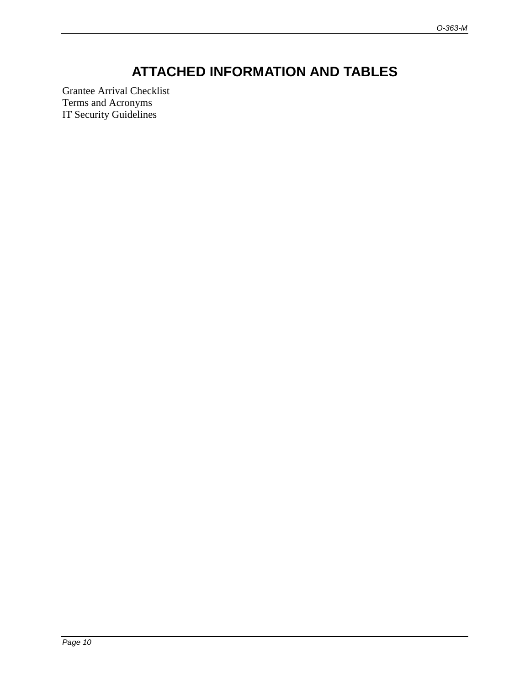## **ATTACHED INFORMATION AND TABLES**

Grantee Arrival Checklist Terms and Acronyms IT Security Guidelines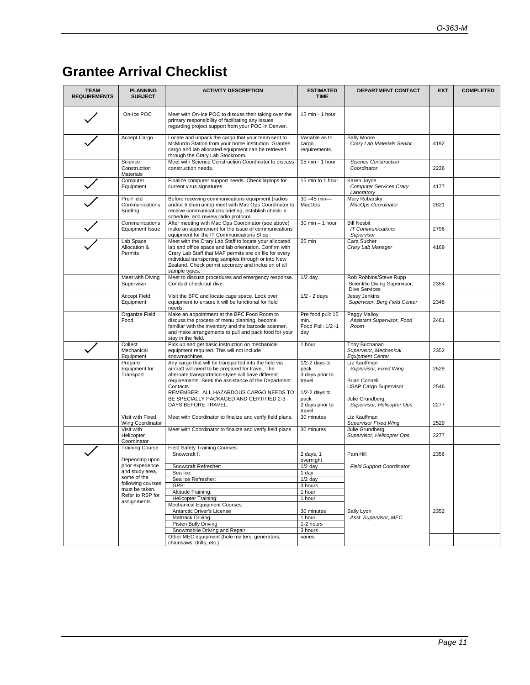## **Grantee Arrival Checklist**

| <b>TEAM</b><br><b>REQUIREMENTS</b> | <b>PLANNING</b><br><b>SUBJECT</b>                                                                                                               | <b>ACTIVITY DESCRIPTION</b>                                                                                                                                                                                                                                                                               | <b>ESTIMATED</b><br><b>TIME</b>                       | DEPARTMENT CONTACT                                                              | <b>EXT</b> | <b>COMPLETED</b> |
|------------------------------------|-------------------------------------------------------------------------------------------------------------------------------------------------|-----------------------------------------------------------------------------------------------------------------------------------------------------------------------------------------------------------------------------------------------------------------------------------------------------------|-------------------------------------------------------|---------------------------------------------------------------------------------|------------|------------------|
|                                    | On-Ice POC                                                                                                                                      | Meet with On-Ice POC to discuss their taking over the<br>primary responsibility of facilitating any issues<br>regarding project support from your POC in Denver.                                                                                                                                          | 15 min - 1 hour                                       |                                                                                 |            |                  |
|                                    | Accept Cargo                                                                                                                                    | Locate and unpack the cargo that your team sent to<br>McMurdo Station from your home institution. Grantee<br>cargo and lab allocated equipment can be retrieved<br>through the Crary Lab Stockroom.                                                                                                       | Variable as to<br>cargo<br>requirements.              | Sally Moore<br>Crary Lab Materials Senior                                       | 4192       |                  |
|                                    | Science<br>Construction<br>Materials                                                                                                            | Meet with Science Construction Coordinator to discuss<br>construction needs.                                                                                                                                                                                                                              | 15 min - 1 hour                                       | <b>Science Construction</b><br>Coordinator                                      | 2236       |                  |
|                                    | Computer<br>Equipment                                                                                                                           | Finalize computer support needs. Check laptops for<br>current virus signatures.                                                                                                                                                                                                                           | 15 min to 1 hour                                      | Karen Joyce<br>Computer Services Crary<br>Laboratory                            | 4177       |                  |
|                                    | Pre-Field<br>Communications<br><b>Briefing</b>                                                                                                  | Before receiving communications equipment (radios<br>and/or Iridium units) meet with Mac Ops Coordinator to<br>receive communications briefing, establish check-in<br>schedule, and review radio protocol.                                                                                                | $30 - 45$ min-<br>MacOps                              | Mary Rubarsky<br>MacOps Coordinator                                             | 2821       |                  |
|                                    | Communications<br>Equipment Issue                                                                                                               | After meeting with Mac Ops Coordinator (see above)<br>make an appointment for the issue of communications<br>equipment for the IT Communications Shop.                                                                                                                                                    | $30$ min $-$ 1 hour                                   | <b>Bill Nesbit</b><br><b>IT Communications</b><br>Supervisor                    | 2796       |                  |
|                                    | Lab Space<br>Allocation &<br>Permits                                                                                                            | Meet with the Crary Lab Staff to locate your allocated<br>lab and office space and lab orientation. Confirm with<br>Crary Lab Staff that MAF permits are on file for every<br>individual transporting samples through or into New<br>Zealand. Check permit accuracy and inclusion of all<br>sample types. | 25 min                                                | Cara Sucher<br>Crary Lab Manager                                                | 4169       |                  |
|                                    | Meet with Diving<br>Supervisor                                                                                                                  | Meet to discuss procedures and emergency response.<br>Conduct check-out dive.                                                                                                                                                                                                                             | $1/2$ day                                             | Rob Robbins/Steve Rupp<br>Scientific Diving Supervisor,<br><b>Dive Services</b> | 2354       |                  |
|                                    | <b>Accept Field</b><br>Equipment                                                                                                                | Visit the BFC and locate cage space. Look over<br>equipment to ensure it will be functional for field<br>needs.                                                                                                                                                                                           | $1/2 - 2$ days                                        | Jessy Jenkins<br>Supervisor, Berg Field Center                                  | 2348       |                  |
|                                    | Organize Field<br>Food                                                                                                                          | Make an appointment at the BFC Food Room to<br>discuss the process of menu planning, become<br>familiar with the inventory and the barcode scanner,<br>and make arrangements to pull and pack food for your<br>stay in the field.                                                                         | Pre food pull: 15<br>min.<br>Food Pull: 1/2 -1<br>day | Peggy Malloy<br>Assistant Supervisor, Food<br>Room                              | 2461       |                  |
|                                    | Collect<br>Mechanical<br>Equipment                                                                                                              | Pick up and get basic instruction on mechanical<br>equipment required. This will not include<br>snowmachines.                                                                                                                                                                                             | 1 hour                                                | Tony Buchanan<br>Supervisor, Mechanical<br><b>Equipment Center</b>              | 2352       |                  |
|                                    | Prepare<br>Equipment for<br>Transport                                                                                                           | Any cargo that will be transported into the field via<br>aircraft will need to be prepared for travel. The<br>alternate transportation styles will have different                                                                                                                                         | $1/2-2$ days to<br>pack<br>3 days prior to            | Liz Kauffman<br>Supervisor, Fixed Wing                                          | 2529       |                  |
|                                    |                                                                                                                                                 | requirements. Seek the assistance of the Department<br>Contacts.<br>REMEMBER: ALL HAZARDOUS CARGO NEEDS TO                                                                                                                                                                                                | travel<br>$1/2-2$ days to                             | <b>Brian Connell</b><br><b>USAP Cargo Supervisor</b>                            | 2546       |                  |
|                                    |                                                                                                                                                 | BE SPECIALLY PACKAGED AND CERTIFIED 2-3<br>DAYS BEFORE TRAVEL.                                                                                                                                                                                                                                            | pack<br>2 days prior to<br>travel                     | Julie Grundberg<br>Supervisor, Helicopter Ops                                   | 2277       |                  |
|                                    | Visit with Fixed<br>Wing Coordinator                                                                                                            | Meet with Coordinator to finalize and verify field plans.                                                                                                                                                                                                                                                 | 30 minutes                                            | Liz Kauffman<br><b>Supervisor Fixed Wing</b>                                    | 2529       |                  |
|                                    | Visit with<br>Helicopter<br>Coordinator                                                                                                         | Meet with Coordinator to finalize and verify field plans.                                                                                                                                                                                                                                                 | 30 minutes                                            | Julie Grundberg<br>Supervisor, Helicopter Ops                                   | 2277       |                  |
|                                    | <b>Training Course</b>                                                                                                                          | Field Safety Training Courses:<br>Snowcraft I:                                                                                                                                                                                                                                                            | 2 days, 1                                             | Pam Hill                                                                        | 2356       |                  |
|                                    | Depending upon<br>prior experience<br>and study area,<br>some of the<br>following courses<br>must be taken.<br>Refer to RSP for<br>assignments. |                                                                                                                                                                                                                                                                                                           | overnight                                             |                                                                                 |            |                  |
|                                    |                                                                                                                                                 | Snowcraft Refresher:                                                                                                                                                                                                                                                                                      | $1/2$ day                                             | <b>Field Support Coordinator</b>                                                |            |                  |
|                                    |                                                                                                                                                 | Sea Ice:<br>Sea Ice Refresher:                                                                                                                                                                                                                                                                            | 1 day<br>$1/2$ day                                    |                                                                                 |            |                  |
|                                    |                                                                                                                                                 | GPS:                                                                                                                                                                                                                                                                                                      | 3 hours                                               |                                                                                 |            |                  |
|                                    |                                                                                                                                                 | Altitude Training:<br>Helicopter Training:                                                                                                                                                                                                                                                                | 1 hour<br>1 hour                                      | Sally Lyon<br>Asst. Supervisor, MEC                                             |            |                  |
|                                    |                                                                                                                                                 | Mechanical Equipment Courses:                                                                                                                                                                                                                                                                             |                                                       |                                                                                 |            |                  |
|                                    |                                                                                                                                                 | Antarctic Driver's License<br>Mattrack Driving                                                                                                                                                                                                                                                            | 30 minutes<br>1 hour                                  |                                                                                 | 2352       |                  |
|                                    |                                                                                                                                                 | Pisten Bully Driving                                                                                                                                                                                                                                                                                      | 1-2 hours                                             |                                                                                 |            |                  |
|                                    |                                                                                                                                                 | Snowmobile Driving and Repair                                                                                                                                                                                                                                                                             | 3 hours                                               |                                                                                 |            |                  |
|                                    |                                                                                                                                                 | Other MEC equipment (hole melters, generators,<br>chainsaws, drills, etc.)                                                                                                                                                                                                                                | varies                                                |                                                                                 |            |                  |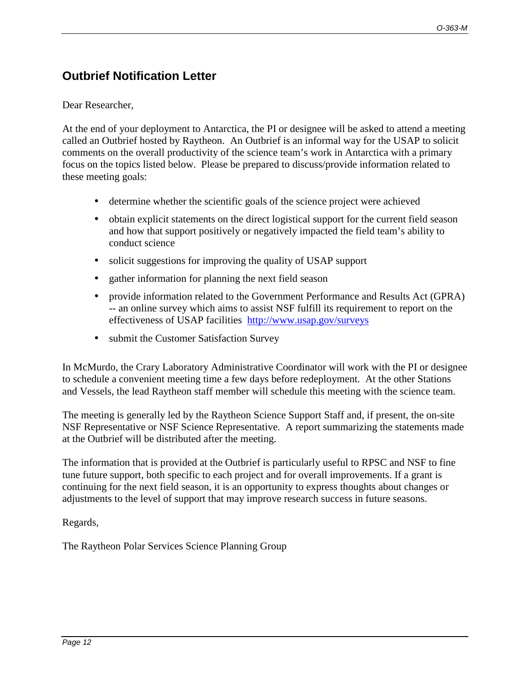### **Outbrief Notification Letter**

#### Dear Researcher,

At the end of your deployment to Antarctica, the PI or designee will be asked to attend a meeting called an Outbrief hosted by Raytheon. An Outbrief is an informal way for the USAP to solicit comments on the overall productivity of the science team's work in Antarctica with a primary focus on the topics listed below. Please be prepared to discuss/provide information related to these meeting goals:

- determine whether the scientific goals of the science project were achieved
- obtain explicit statements on the direct logistical support for the current field season and how that support positively or negatively impacted the field team's ability to conduct science
- solicit suggestions for improving the quality of USAP support
- gather information for planning the next field season
- provide information related to the Government Performance and Results Act (GPRA) -- an online survey which aims to assist NSF fulfill its requirement to report on the effectiveness of USAP facilities http://www.usap.gov/surveys
- submit the Customer Satisfaction Survey

In McMurdo, the Crary Laboratory Administrative Coordinator will work with the PI or designee to schedule a convenient meeting time a few days before redeployment. At the other Stations and Vessels, the lead Raytheon staff member will schedule this meeting with the science team.

The meeting is generally led by the Raytheon Science Support Staff and, if present, the on-site NSF Representative or NSF Science Representative. A report summarizing the statements made at the Outbrief will be distributed after the meeting.

The information that is provided at the Outbrief is particularly useful to RPSC and NSF to fine tune future support, both specific to each project and for overall improvements. If a grant is continuing for the next field season, it is an opportunity to express thoughts about changes or adjustments to the level of support that may improve research success in future seasons.

Regards,

The Raytheon Polar Services Science Planning Group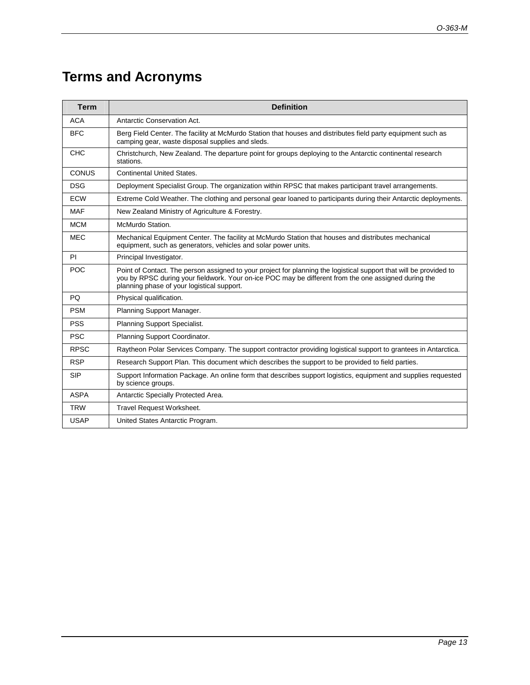## **Terms and Acronyms**

| <b>Term</b>  | <b>Definition</b>                                                                                                                                                                                                                                                        |  |  |  |
|--------------|--------------------------------------------------------------------------------------------------------------------------------------------------------------------------------------------------------------------------------------------------------------------------|--|--|--|
| <b>ACA</b>   | Antarctic Conservation Act.                                                                                                                                                                                                                                              |  |  |  |
| <b>BFC</b>   | Berg Field Center. The facility at McMurdo Station that houses and distributes field party equipment such as<br>camping gear, waste disposal supplies and sleds.                                                                                                         |  |  |  |
| <b>CHC</b>   | Christchurch, New Zealand. The departure point for groups deploying to the Antarctic continental research<br>stations.                                                                                                                                                   |  |  |  |
| <b>CONUS</b> | <b>Continental United States.</b>                                                                                                                                                                                                                                        |  |  |  |
| <b>DSG</b>   | Deployment Specialist Group. The organization within RPSC that makes participant travel arrangements.                                                                                                                                                                    |  |  |  |
| <b>ECW</b>   | Extreme Cold Weather. The clothing and personal gear loaned to participants during their Antarctic deployments.                                                                                                                                                          |  |  |  |
| <b>MAF</b>   | New Zealand Ministry of Agriculture & Forestry.                                                                                                                                                                                                                          |  |  |  |
| <b>MCM</b>   | McMurdo Station.                                                                                                                                                                                                                                                         |  |  |  |
| <b>MEC</b>   | Mechanical Equipment Center. The facility at McMurdo Station that houses and distributes mechanical<br>equipment, such as generators, vehicles and solar power units.                                                                                                    |  |  |  |
| PI           | Principal Investigator.                                                                                                                                                                                                                                                  |  |  |  |
| <b>POC</b>   | Point of Contact. The person assigned to your project for planning the logistical support that will be provided to<br>you by RPSC during your fieldwork. Your on-ice POC may be different from the one assigned during the<br>planning phase of your logistical support. |  |  |  |
| PQ           | Physical qualification.                                                                                                                                                                                                                                                  |  |  |  |
| <b>PSM</b>   | Planning Support Manager.                                                                                                                                                                                                                                                |  |  |  |
| <b>PSS</b>   | Planning Support Specialist.                                                                                                                                                                                                                                             |  |  |  |
| <b>PSC</b>   | Planning Support Coordinator.                                                                                                                                                                                                                                            |  |  |  |
| <b>RPSC</b>  | Raytheon Polar Services Company. The support contractor providing logistical support to grantees in Antarctica.                                                                                                                                                          |  |  |  |
| <b>RSP</b>   | Research Support Plan. This document which describes the support to be provided to field parties.                                                                                                                                                                        |  |  |  |
| <b>SIP</b>   | Support Information Package. An online form that describes support logistics, equipment and supplies requested<br>by science groups.                                                                                                                                     |  |  |  |
| <b>ASPA</b>  | Antarctic Specially Protected Area.                                                                                                                                                                                                                                      |  |  |  |
| <b>TRW</b>   | Travel Request Worksheet.                                                                                                                                                                                                                                                |  |  |  |
| <b>USAP</b>  | United States Antarctic Program.                                                                                                                                                                                                                                         |  |  |  |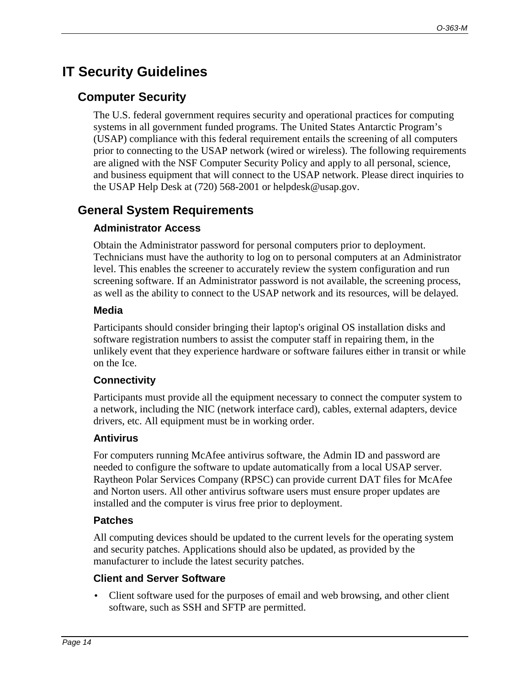## **IT Security Guidelines**

#### **Computer Security**

The U.S. federal government requires security and operational practices for computing systems in all government funded programs. The United States Antarctic Program's (USAP) compliance with this federal requirement entails the screening of all computers prior to connecting to the USAP network (wired or wireless). The following requirements are aligned with the NSF Computer Security Policy and apply to all personal, science, and business equipment that will connect to the USAP network. Please direct inquiries to the USAP Help Desk at (720) 568-2001 or helpdesk@usap.gov.

#### **General System Requirements**

#### **Administrator Access**

Obtain the Administrator password for personal computers prior to deployment. Technicians must have the authority to log on to personal computers at an Administrator level. This enables the screener to accurately review the system configuration and run screening software. If an Administrator password is not available, the screening process, as well as the ability to connect to the USAP network and its resources, will be delayed.

#### **Media**

Participants should consider bringing their laptop's original OS installation disks and software registration numbers to assist the computer staff in repairing them, in the unlikely event that they experience hardware or software failures either in transit or while on the Ice.

#### **Connectivity**

Participants must provide all the equipment necessary to connect the computer system to a network, including the NIC (network interface card), cables, external adapters, device drivers, etc. All equipment must be in working order.

#### **Antivirus**

For computers running McAfee antivirus software, the Admin ID and password are needed to configure the software to update automatically from a local USAP server. Raytheon Polar Services Company (RPSC) can provide current DAT files for McAfee and Norton users. All other antivirus software users must ensure proper updates are installed and the computer is virus free prior to deployment.

#### **Patches**

All computing devices should be updated to the current levels for the operating system and security patches. Applications should also be updated, as provided by the manufacturer to include the latest security patches.

#### **Client and Server Software**

• Client software used for the purposes of email and web browsing, and other client software, such as SSH and SFTP are permitted.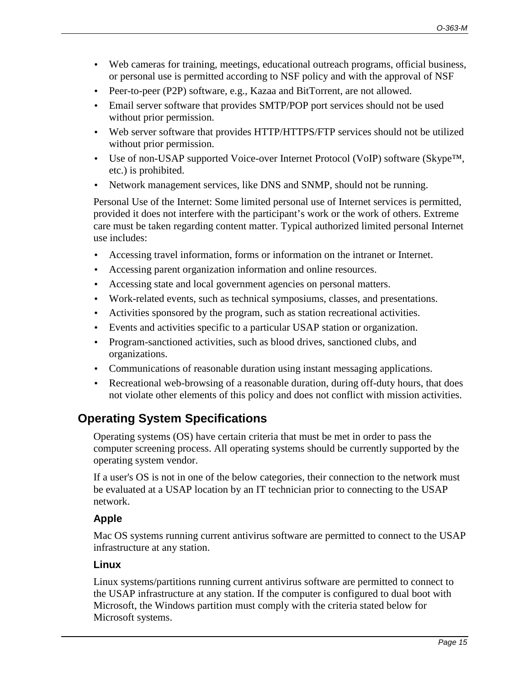- Web cameras for training, meetings, educational outreach programs, official business, or personal use is permitted according to NSF policy and with the approval of NSF
- Peer-to-peer (P2P) software, e.g., Kazaa and BitTorrent, are not allowed.
- Email server software that provides SMTP/POP port services should not be used without prior permission.
- Web server software that provides HTTP/HTTPS/FTP services should not be utilized without prior permission.
- Use of non-USAP supported Voice-over Internet Protocol (VoIP) software (Skype<sup>TM</sup>, etc.) is prohibited.
- Network management services, like DNS and SNMP, should not be running.

Personal Use of the Internet: Some limited personal use of Internet services is permitted, provided it does not interfere with the participant's work or the work of others. Extreme care must be taken regarding content matter. Typical authorized limited personal Internet use includes:

- Accessing travel information, forms or information on the intranet or Internet.
- Accessing parent organization information and online resources.
- Accessing state and local government agencies on personal matters.
- Work-related events, such as technical symposiums, classes, and presentations.
- Activities sponsored by the program, such as station recreational activities.
- Events and activities specific to a particular USAP station or organization.
- Program-sanctioned activities, such as blood drives, sanctioned clubs, and organizations.
- Communications of reasonable duration using instant messaging applications.
- Recreational web-browsing of a reasonable duration, during off-duty hours, that does not violate other elements of this policy and does not conflict with mission activities.

### **Operating System Specifications**

Operating systems (OS) have certain criteria that must be met in order to pass the computer screening process. All operating systems should be currently supported by the operating system vendor.

If a user's OS is not in one of the below categories, their connection to the network must be evaluated at a USAP location by an IT technician prior to connecting to the USAP network.

#### **Apple**

Mac OS systems running current antivirus software are permitted to connect to the USAP infrastructure at any station.

#### **Linux**

Linux systems/partitions running current antivirus software are permitted to connect to the USAP infrastructure at any station. If the computer is configured to dual boot with Microsoft, the Windows partition must comply with the criteria stated below for Microsoft systems.